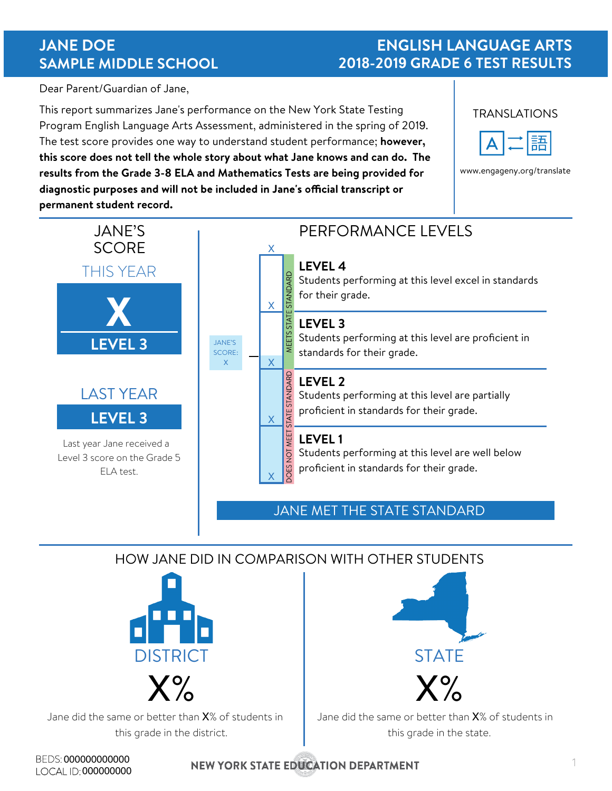## **JANE DOE SAMPLE MIDDLE SCHOOL**

#### **ENGLISH LANGUAGE ARTS 2018-2019 GRADE 6 TEST RESULTS**

Dear Parent/Guardian of Jane,

This report summarizes Jane's performance on the New York State Testing Program English Language Arts Assessment, administered in the spring of 2019. The test score provides one way to understand student performance; **however, this score does not tell the whole story about what Jane knows and can do. The results from the Grade 3-8 ELA and Mathematics Tests are being provided for**  diagnostic purposes and will not be included in Jane's official transcript or **permanent student record.** 



www.engageny.org/translate



#### HOW JANE DID IN COMPARISON WITH OTHER STUDENTS



Jane did the same or better than X% of students in this grade in the district.



Jane did the same or better than X% of students in this grade in the state.

BEDS: 000000000000 LOCAL ID: 000000000

**NEW YORK STATE EDUCATION DEPARTMENT**